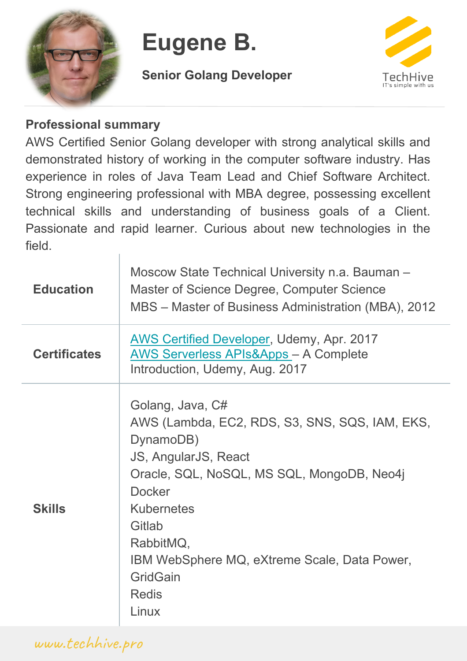

# **Eugene B.**

**Senior Golang Developer**



#### **Professional summary**

AWS Certified Senior Golang developer with strong analytical skills and demonstrated history of working in the computer software industry. Has experience in roles of Java Team Lead and Chief Software Architect. Strong engineering professional with MBA degree, possessing excellent technical skills and understanding of business goals of a Client. Passionate and rapid learner. Curious about new technologies in the field.

| <b>Education</b>    | Moscow State Technical University n.a. Bauman -<br>Master of Science Degree, Computer Science<br>MBS – Master of Business Administration (MBA), 2012                                                                                                                                                           |
|---------------------|----------------------------------------------------------------------------------------------------------------------------------------------------------------------------------------------------------------------------------------------------------------------------------------------------------------|
| <b>Certificates</b> | AWS Certified Developer, Udemy, Apr. 2017<br><b>AWS Serverless APIs&amp;Apps - A Complete</b><br>Introduction, Udemy, Aug. 2017                                                                                                                                                                                |
| <b>Skills</b>       | Golang, Java, C#<br>AWS (Lambda, EC2, RDS, S3, SNS, SQS, IAM, EKS,<br>DynamoDB)<br>JS, AngularJS, React<br>Oracle, SQL, NoSQL, MS SQL, MongoDB, Neo4j<br><b>Docker</b><br><b>Kubernetes</b><br>Gitlab<br>RabbitMQ,<br>IBM WebSphere MQ, eXtreme Scale, Data Power,<br><b>GridGain</b><br><b>Redis</b><br>Linux |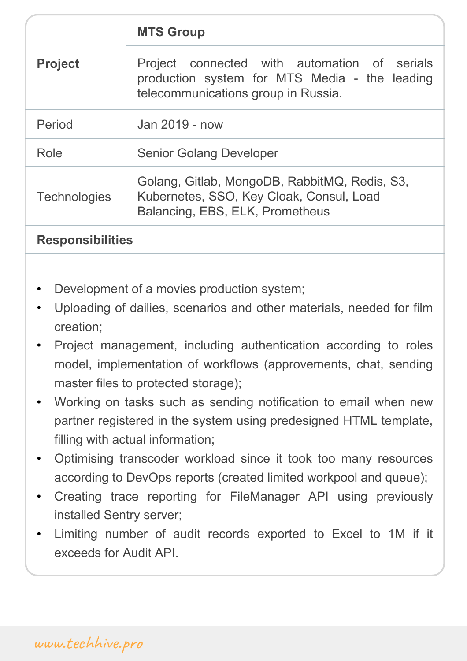| <b>Project</b>      | Project connected with automation of serials<br>production system for MTS Media - the leading<br>telecommunications group in Russia. |
|---------------------|--------------------------------------------------------------------------------------------------------------------------------------|
| Period              | Jan 2019 - now                                                                                                                       |
| Role                | <b>Senior Golang Developer</b>                                                                                                       |
| <b>Technologies</b> | Golang, Gitlab, MongoDB, RabbitMQ, Redis, S3,<br>Kubernetes, SSO, Key Cloak, Consul, Load<br>Balancing, EBS, ELK, Prometheus         |

- Development of a movies production system;
- Uploading of dailies, scenarios and other materials, needed for film creation;
- Project management, including authentication according to roles model, implementation of workflows (approvements, chat, sending master files to protected storage);
- Working on tasks such as sending notification to email when new partner registered in the system using predesigned HTML template, filling with actual information;
- Optimising transcoder workload since it took too many resources according to DevOps reports (created limited workpool and queue);
- Creating trace reporting for FileManager API using previously installed Sentry server;
- Limiting number of audit records exported to Excel to 1M if it exceeds for Audit API.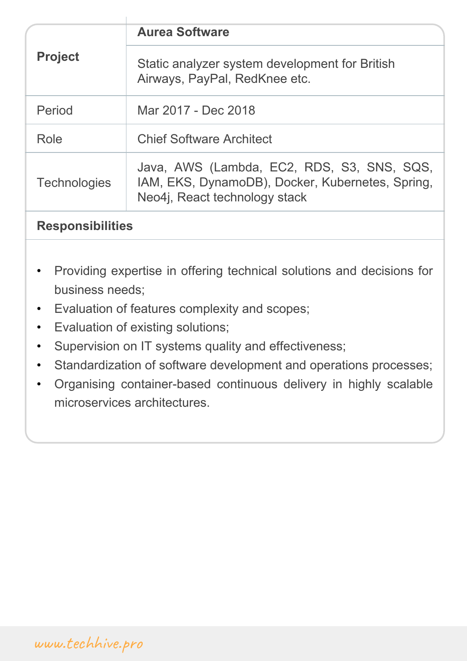| <b>Project</b>      | Static analyzer system development for British<br>Airways, PayPal, RedKnee etc.                                                 |
|---------------------|---------------------------------------------------------------------------------------------------------------------------------|
| Period              | Mar 2017 - Dec 2018                                                                                                             |
| Role                | <b>Chief Software Architect</b>                                                                                                 |
| <b>Technologies</b> | Java, AWS (Lambda, EC2, RDS, S3, SNS, SQS,<br>IAM, EKS, DynamoDB), Docker, Kubernetes, Spring,<br>Neo4j, React technology stack |

- Providing expertise in offering technical solutions and decisions for business needs;
- Evaluation of features complexity and scopes;
- Evaluation of existing solutions;
- Supervision on IT systems quality and effectiveness;
- Standardization of software development and operations processes;
- Organising container-based continuous delivery in highly scalable microservices architectures.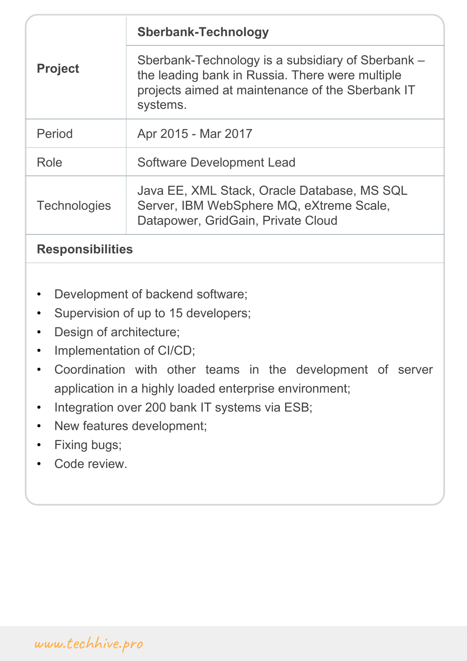| <b>Project</b>      | Sberbank-Technology is a subsidiary of Sberbank –<br>the leading bank in Russia. There were multiple<br>projects aimed at maintenance of the Sberbank IT<br>systems. |
|---------------------|----------------------------------------------------------------------------------------------------------------------------------------------------------------------|
| Period              | Apr 2015 - Mar 2017                                                                                                                                                  |
| Role                | <b>Software Development Lead</b>                                                                                                                                     |
| <b>Technologies</b> | Java EE, XML Stack, Oracle Database, MS SQL<br>Server, IBM WebSphere MQ, eXtreme Scale,<br>Datapower, GridGain, Private Cloud                                        |

- Development of backend software;
- Supervision of up to 15 developers;
- Design of architecture;
- Implementation of CI/CD;
- Coordination with other teams in the development of server application in a highly loaded enterprise environment;
- Integration over 200 bank IT systems via ESB;
- New features development;
- Fixing bugs;
- Code review.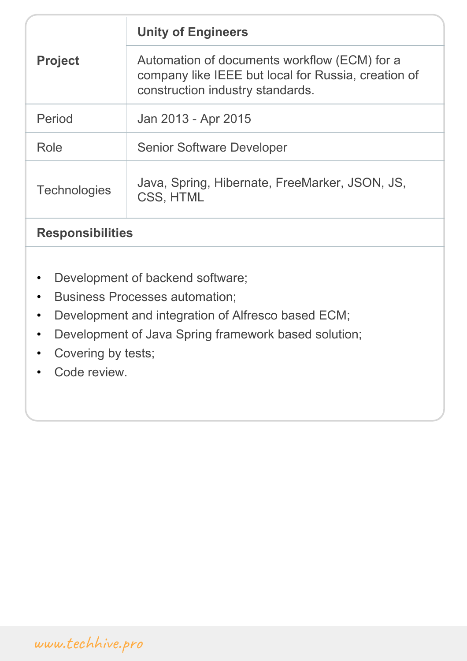| <b>Project</b>      | Automation of documents workflow (ECM) for a                                            |
|---------------------|-----------------------------------------------------------------------------------------|
|                     | company like IEEE but local for Russia, creation of<br>construction industry standards. |
| Period              | Jan 2013 - Apr 2015                                                                     |
| Role                | <b>Senior Software Developer</b>                                                        |
| <b>Technologies</b> | Java, Spring, Hibernate, FreeMarker, JSON, JS,<br>CSS, HTML                             |
|                     |                                                                                         |

- Development of backend software;
- Business Processes automation;
- Development and integration of Alfresco based ECM;
- Development of Java Spring framework based solution;
- Covering by tests;
- Code review.